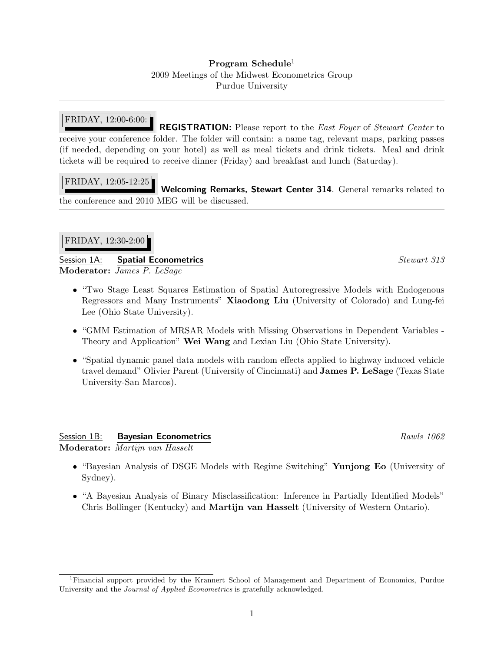### Program Schedule<sup>1</sup>

2009 Meetings of the Midwest Econometrics Group Purdue University

# FRIDAY, 12:00-6:00:

REGISTRATION: Please report to the East Foyer of Stewart Center to receive your conference folder. The folder will contain: a name tag, relevant maps, parking passes (if needed, depending on your hotel) as well as meal tickets and drink tickets. Meal and drink tickets will be required to receive dinner (Friday) and breakfast and lunch (Saturday).

### FRIDAY, 12:05-12:25

Welcoming Remarks, Stewart Center 314. General remarks related to the conference and 2010 MEG will be discussed.

### FRIDAY, 12:30-2:00

Session 1A: Spatial Econometrics Stewart 313 Moderator: James P. LeSage

- "Two Stage Least Squares Estimation of Spatial Autoregressive Models with Endogenous Regressors and Many Instruments" Xiaodong Liu (University of Colorado) and Lung-fei Lee (Ohio State University).
- "GMM Estimation of MRSAR Models with Missing Observations in Dependent Variables Theory and Application" Wei Wang and Lexian Liu (Ohio State University).
- "Spatial dynamic panel data models with random effects applied to highway induced vehicle travel demand" Olivier Parent (University of Cincinnati) and James P. LeSage (Texas State University-San Marcos).

# Session 1B: Bayesian Econometrics **Rawls 1062** Rawls 1062

Moderator: Martijn van Hasselt

- "Bayesian Analysis of DSGE Models with Regime Switching" Yunjong Eo (University of Sydney).
- "A Bayesian Analysis of Binary Misclassification: Inference in Partially Identified Models" Chris Bollinger (Kentucky) and Martijn van Hasselt (University of Western Ontario).

<sup>1</sup>Financial support provided by the Krannert School of Management and Department of Economics, Purdue University and the *Journal of Applied Econometrics* is gratefully acknowledged.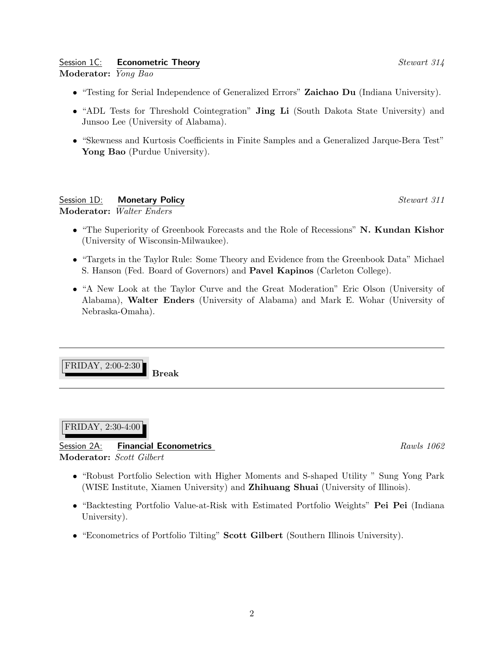# Session 1C: **Econometric Theory** Stewart 314

Moderator: Yong Bao

- "Testing for Serial Independence of Generalized Errors" Zaichao Du (Indiana University).
- "ADL Tests for Threshold Cointegration" **Jing Li** (South Dakota State University) and Junsoo Lee (University of Alabama).
- "Skewness and Kurtosis Coefficients in Finite Samples and a Generalized Jarque-Bera Test" Yong Bao (Purdue University).

Session 1D: **Monetary Policy** Session 1D: **Monetary Policy** Stewart 311 Moderator: Walter Enders

- "The Superiority of Greenbook Forecasts and the Role of Recessions" N. Kundan Kishor (University of Wisconsin-Milwaukee).
- "Targets in the Taylor Rule: Some Theory and Evidence from the Greenbook Data" Michael S. Hanson (Fed. Board of Governors) and Pavel Kapinos (Carleton College).
- "A New Look at the Taylor Curve and the Great Moderation" Eric Olson (University of Alabama), Walter Enders (University of Alabama) and Mark E. Wohar (University of Nebraska-Omaha).

FRIDAY, 2:00-2:30 Break

#### FRIDAY, 2:30-4:00

# Session 2A: **Financial Econometrics Rawls 1062** Rawls 1062 Moderator: Scott Gilbert

- "Robust Portfolio Selection with Higher Moments and S-shaped Utility " Sung Yong Park (WISE Institute, Xiamen University) and Zhihuang Shuai (University of Illinois).
- "Backtesting Portfolio Value-at-Risk with Estimated Portfolio Weights" Pei Pei (Indiana University).
- "Econometrics of Portfolio Tilting" Scott Gilbert (Southern Illinois University).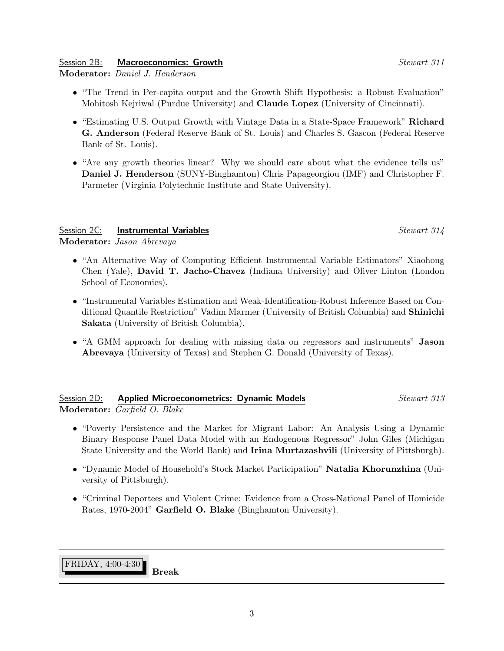3

# Session 2B: **Macroeconomics: Growth Stewart 311**

Moderator: Daniel J. Henderson

- "The Trend in Per-capita output and the Growth Shift Hypothesis: a Robust Evaluation" Mohitosh Kejriwal (Purdue University) and Claude Lopez (University of Cincinnati).
- "Estimating U.S. Output Growth with Vintage Data in a State-Space Framework" Richard G. Anderson (Federal Reserve Bank of St. Louis) and Charles S. Gascon (Federal Reserve Bank of St. Louis).
- "Are any growth theories linear? Why we should care about what the evidence tells us" Daniel J. Henderson (SUNY-Binghamton) Chris Papageorgiou (IMF) and Christopher F. Parmeter (Virginia Polytechnic Institute and State University).

# Session 2C: Instrumental Variables Stewart 314

Moderator: Jason Abrevaya

- "An Alternative Way of Computing Efficient Instrumental Variable Estimators" Xiaohong Chen (Yale), David T. Jacho-Chavez (Indiana University) and Oliver Linton (London School of Economics).
- "Instrumental Variables Estimation and Weak-Identification-Robust Inference Based on Conditional Quantile Restriction" Vadim Marmer (University of British Columbia) and Shinichi Sakata (University of British Columbia).
- "A GMM approach for dealing with missing data on regressors and instruments" **Jason** Abrevaya (University of Texas) and Stephen G. Donald (University of Texas).

# Session 2D: **Applied Microeconometrics: Dynamic Models** Stewart 313 Moderator: Garfield O. Blake

- "Poverty Persistence and the Market for Migrant Labor: An Analysis Using a Dynamic Binary Response Panel Data Model with an Endogenous Regressor" John Giles (Michigan State University and the World Bank) and Irina Murtazashvili (University of Pittsburgh).
- "Dynamic Model of Household's Stock Market Participation" Natalia Khorunzhina (University of Pittsburgh).
- "Criminal Deportees and Violent Crime: Evidence from a Cross-National Panel of Homicide Rates, 1970-2004" Garfield O. Blake (Binghamton University).

FRIDAY, 4:00-4:30

Break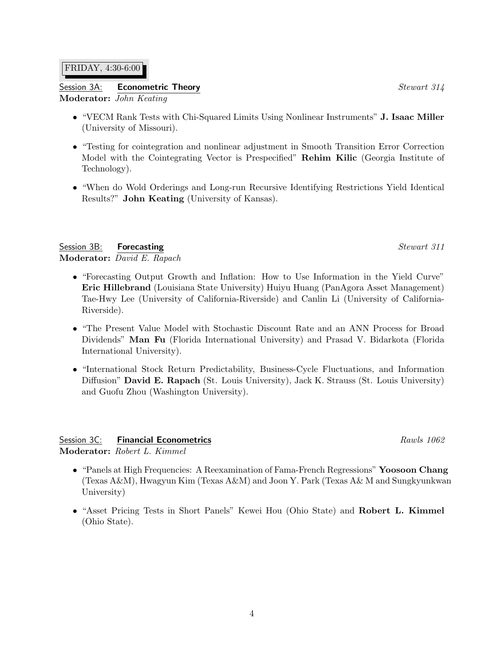#### FRIDAY, 4:30-6:00

#### Session 3A: **Econometric Theory** Session 3A: **Example 2014** Stewart 314 Moderator: John Keating

- "VECM Rank Tests with Chi-Squared Limits Using Nonlinear Instruments" J. Isaac Miller (University of Missouri).
- "Testing for cointegration and nonlinear adjustment in Smooth Transition Error Correction Model with the Cointegrating Vector is Prespecified" Rehim Kilic (Georgia Institute of Technology).
- "When do Wold Orderings and Long-run Recursive Identifying Restrictions Yield Identical Results?" John Keating (University of Kansas).

Session 3B: Forecasting Stewart 311 Moderator: David E. Rapach

- "Forecasting Output Growth and Inflation: How to Use Information in the Yield Curve" Eric Hillebrand (Louisiana State University) Huiyu Huang (PanAgora Asset Management) Tae-Hwy Lee (University of California-Riverside) and Canlin Li (University of California-Riverside).
- "The Present Value Model with Stochastic Discount Rate and an ANN Process for Broad Dividends" Man Fu (Florida International University) and Prasad V. Bidarkota (Florida International University).
- "International Stock Return Predictability, Business-Cycle Fluctuations, and Information Diffusion" David E. Rapach (St. Louis University), Jack K. Strauss (St. Louis University) and Guofu Zhou (Washington University).

Session 3C: **Financial Econometrics Rawls 1062 Rawls** 1062 Moderator: Robert L. Kimmel

- "Panels at High Frequencies: A Reexamination of Fama-French Regressions" Yoosoon Chang (Texas A&M), Hwagyun Kim (Texas A&M) and Joon Y. Park (Texas A& M and Sungkyunkwan University)
- "Asset Pricing Tests in Short Panels" Kewei Hou (Ohio State) and Robert L. Kimmel (Ohio State).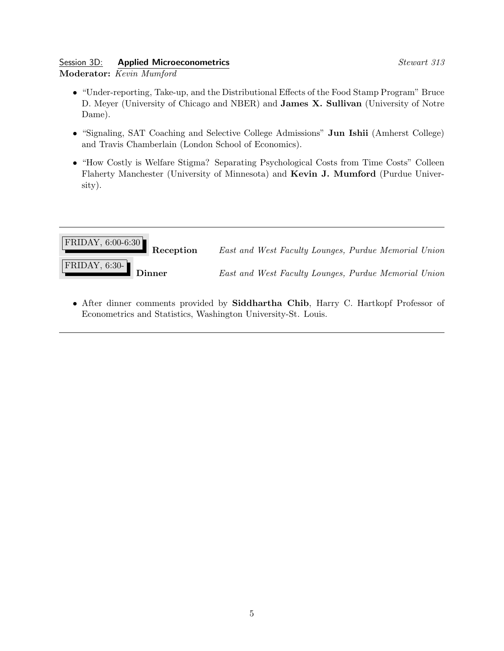#### Session 3D: **Applied Microeconometrics** Stewart 313 Moderator: Kevin Mumford

- "Under-reporting, Take-up, and the Distributional Effects of the Food Stamp Program" Bruce D. Meyer (University of Chicago and NBER) and James X. Sullivan (University of Notre Dame).
- "Signaling, SAT Coaching and Selective College Admissions" Jun Ishii (Amherst College) and Travis Chamberlain (London School of Economics).
- "How Costly is Welfare Stigma? Separating Psychological Costs from Time Costs" Colleen Flaherty Manchester (University of Minnesota) and Kevin J. Mumford (Purdue University).



• After dinner comments provided by Siddhartha Chib, Harry C. Hartkopf Professor of Econometrics and Statistics, Washington University-St. Louis.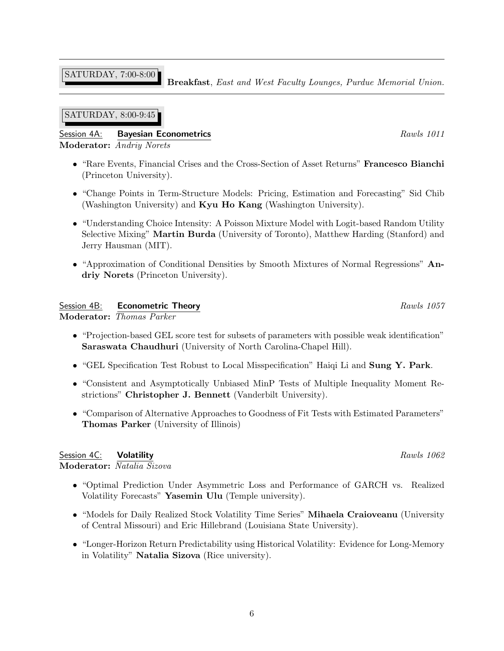SATURDAY, 7:00-8:00

Breakfast, East and West Faculty Lounges, Purdue Memorial Union.

### SATURDAY, 8:00-9:45

# Session 4A: Bayesian Econometrics **Rawls 1011** Moderator: Andriy Norets

- "Rare Events, Financial Crises and the Cross-Section of Asset Returns" Francesco Bianchi (Princeton University).
- "Change Points in Term-Structure Models: Pricing, Estimation and Forecasting" Sid Chib (Washington University) and Kyu Ho Kang (Washington University).
- "Understanding Choice Intensity: A Poisson Mixture Model with Logit-based Random Utility Selective Mixing" Martin Burda (University of Toronto), Matthew Harding (Stanford) and Jerry Hausman (MIT).
- "Approximation of Conditional Densities by Smooth Mixtures of Normal Regressions" Andriy Norets (Princeton University).

### Session 4B: **Econometric Theory Rawls 1057** Rawls 1057

Moderator: Thomas Parker

- "Projection-based GEL score test for subsets of parameters with possible weak identification" Saraswata Chaudhuri (University of North Carolina-Chapel Hill).
- "GEL Specification Test Robust to Local Misspecification" Haiqi Li and Sung Y. Park.
- "Consistent and Asymptotically Unbiased MinP Tests of Multiple Inequality Moment Restrictions" Christopher J. Bennett (Vanderbilt University).
- "Comparison of Alternative Approaches to Goodness of Fit Tests with Estimated Parameters" Thomas Parker (University of Illinois)

#### Session  $4C$ : **Volatility Rawls** 1062 Moderator: Natalia Sizova

- "Optimal Prediction Under Asymmetric Loss and Performance of GARCH vs. Realized Volatility Forecasts" Yasemin Ulu (Temple university).
- "Models for Daily Realized Stock Volatility Time Series" Mihaela Craioveanu (University of Central Missouri) and Eric Hillebrand (Louisiana State University).
- "Longer-Horizon Return Predictability using Historical Volatility: Evidence for Long-Memory in Volatility" Natalia Sizova (Rice university).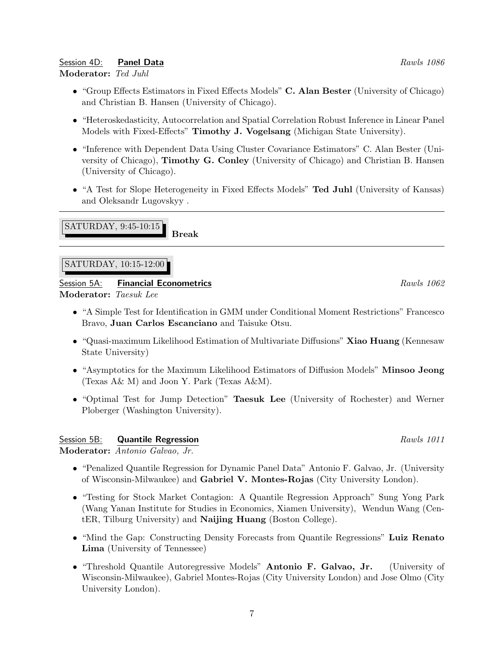7

# Session 4D: **Panel Data** Rawls 1086

#### Moderator: Ted Juhl

- "Group Effects Estimators in Fixed Effects Models" C. Alan Bester (University of Chicago) and Christian B. Hansen (University of Chicago).
- "Heteroskedasticity, Autocorrelation and Spatial Correlation Robust Inference in Linear Panel Models with Fixed-Effects" Timothy J. Vogelsang (Michigan State University).
- "Inference with Dependent Data Using Cluster Covariance Estimators" C. Alan Bester (University of Chicago), Timothy G. Conley (University of Chicago) and Christian B. Hansen (University of Chicago).
- "A Test for Slope Heterogeneity in Fixed Effects Models" Ted Juhl (University of Kansas) and Oleksandr Lugovskyy .

SATURDAY, 9:45-10:15

SATURDAY, 10:15-12:00

Session 5A: Financial Econometrics **Rawls 1062** Rawls 1062 Moderator: Taesuk Lee

Break

- "A Simple Test for Identification in GMM under Conditional Moment Restrictions" Francesco Bravo, Juan Carlos Escanciano and Taisuke Otsu.
- "Quasi-maximum Likelihood Estimation of Multivariate Diffusions" Xiao Huang (Kennesaw State University)
- "Asymptotics for the Maximum Likelihood Estimators of Diffusion Models" Minsoo Jeong (Texas A& M) and Joon Y. Park (Texas A&M).
- "Optimal Test for Jump Detection" Taesuk Lee (University of Rochester) and Werner Ploberger (Washington University).

# Session 5B: **Quantile Regression Rawls 1011** Rawls 1011

Moderator: Antonio Galvao, Jr.

- "Penalized Quantile Regression for Dynamic Panel Data" Antonio F. Galvao, Jr. (University of Wisconsin-Milwaukee) and Gabriel V. Montes-Rojas (City University London).
- "Testing for Stock Market Contagion: A Quantile Regression Approach" Sung Yong Park (Wang Yanan Institute for Studies in Economics, Xiamen University), Wendun Wang (CentER, Tilburg University) and Naijing Huang (Boston College).
- "Mind the Gap: Constructing Density Forecasts from Quantile Regressions" Luiz Renato Lima (University of Tennessee)
- "Threshold Quantile Autoregressive Models" Antonio F. Galvao, Jr. (University of Wisconsin-Milwaukee), Gabriel Montes-Rojas (City University London) and Jose Olmo (City University London).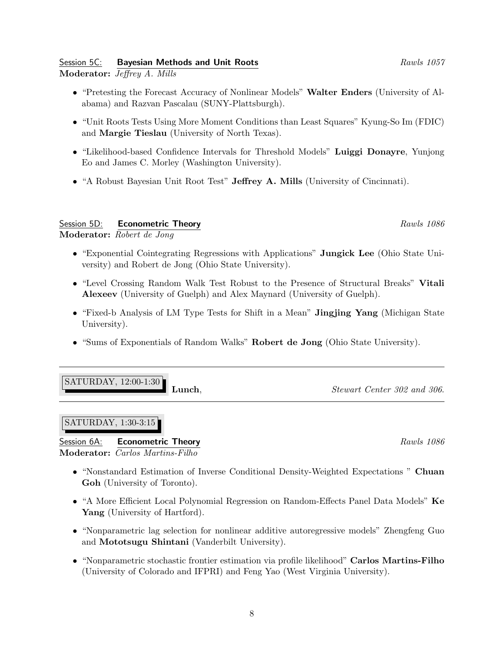#### Session 5C: **Bayesian Methods and Unit Roots** And According the Rawls 1057 Moderator: Jeffrey A. Mills

- "Pretesting the Forecast Accuracy of Nonlinear Models" Walter Enders (University of Alabama) and Razvan Pascalau (SUNY-Plattsburgh).
- "Unit Roots Tests Using More Moment Conditions than Least Squares" Kyung-So Im (FDIC) and Margie Tieslau (University of North Texas).
- "Likelihood-based Confidence Intervals for Threshold Models" Luiggi Donayre, Yunjong Eo and James C. Morley (Washington University).
- "A Robust Bayesian Unit Root Test" Jeffrey A. Mills (University of Cincinnati).

# Session 5D: **Econometric Theory Rawls 1086** Rawls 1086

Moderator: Robert de Jong

- "Exponential Cointegrating Regressions with Applications" Jungick Lee (Ohio State University) and Robert de Jong (Ohio State University).
- "Level Crossing Random Walk Test Robust to the Presence of Structural Breaks" Vitali Alexeev (University of Guelph) and Alex Maynard (University of Guelph).
- "Fixed-b Analysis of LM Type Tests for Shift in a Mean" Jingjing Yang (Michigan State University).
- "Sums of Exponentials of Random Walks" Robert de Jong (Ohio State University).

| $ SATURLAY, 12:00-1:30 $ |       |
|--------------------------|-------|
|                          | Lunch |

# SATURDAY, 1:30-3:15

 $\frac{1}{2}$ 

Session 6A: **Econometric Theory Rawls 1086** Rawls 1086 Moderator: *Carlos Martins-Filho* 

- "Nonstandard Estimation of Inverse Conditional Density-Weighted Expectations " Chuan Goh (University of Toronto).
- "A More Efficient Local Polynomial Regression on Random-Effects Panel Data Models" Ke Yang (University of Hartford).
- "Nonparametric lag selection for nonlinear additive autoregressive models" Zhengfeng Guo and Mototsugu Shintani (Vanderbilt University).
- "Nonparametric stochastic frontier estimation via profile likelihood" Carlos Martins-Filho (University of Colorado and IFPRI) and Feng Yao (West Virginia University).

 $\Omega$ , Stewart Center 302 and 306.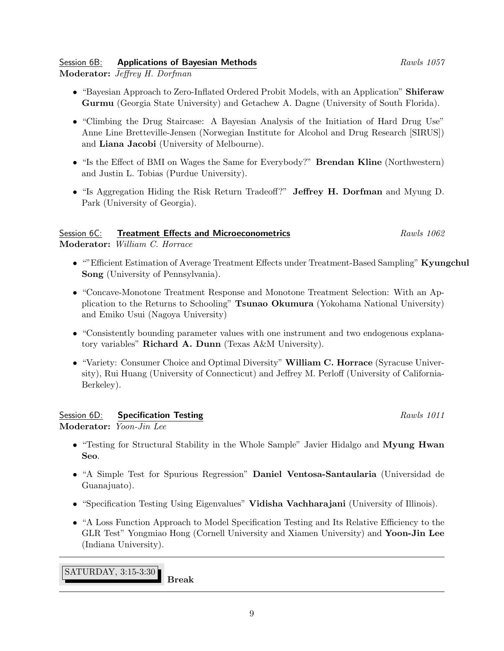# Session 6B: **Applications of Bayesian Methods Rawls 1057 Rawls** 1057

Moderator: Jeffrey H. Dorfman

- "Bayesian Approach to Zero-Inflated Ordered Probit Models, with an Application" Shiferaw Gurmu (Georgia State University) and Getachew A. Dagne (University of South Florida).
- "Climbing the Drug Staircase: A Bayesian Analysis of the Initiation of Hard Drug Use" Anne Line Bretteville-Jensen (Norwegian Institute for Alcohol and Drug Research [SIRUS]) and Liana Jacobi (University of Melbourne).
- "Is the Effect of BMI on Wages the Same for Everybody?" Brendan Kline (Northwestern) and Justin L. Tobias (Purdue University).
- "Is Aggregation Hiding the Risk Return Tradeoff?" Jeffrey H. Dorfman and Myung D. Park (University of Georgia).

# Session 6C: Treatment Effects and Microeconometrics Rawls 1062

Moderator: William C. Horrace

- ""Efficient Estimation of Average Treatment Effects under Treatment-Based Sampling" Kyungchul Song (University of Pennsylvania).
- "Concave-Monotone Treatment Response and Monotone Treatment Selection: With an Application to the Returns to Schooling" Tsunao Okumura (Yokohama National University) and Emiko Usui (Nagoya University)
- "Consistently bounding parameter values with one instrument and two endogenous explanatory variables" Richard A. Dunn (Texas A&M University).
- "Variety: Consumer Choice and Optimal Diversity" William C. Horrace (Syracuse University), Rui Huang (University of Connecticut) and Jeffrey M. Perloff (University of California-Berkeley).

#### Session 6D: Specification Testing Session 6D: Session 6D: Specification Testing Rawls 1011 Moderator: Yoon-Jin Lee

- "Testing for Structural Stability in the Whole Sample" Javier Hidalgo and Myung Hwan Seo.
- "A Simple Test for Spurious Regression" Daniel Ventosa-Santaularia (Universidad de Guanajuato).
- "Specification Testing Using Eigenvalues" Vidisha Vachharajani (University of Illinois).
- "A Loss Function Approach to Model Specification Testing and Its Relative Efficiency to the GLR Test" Yongmiao Hong (Cornell University and Xiamen University) and Yoon-Jin Lee (Indiana University).

SATURDAY, 3:15-3:30 Break